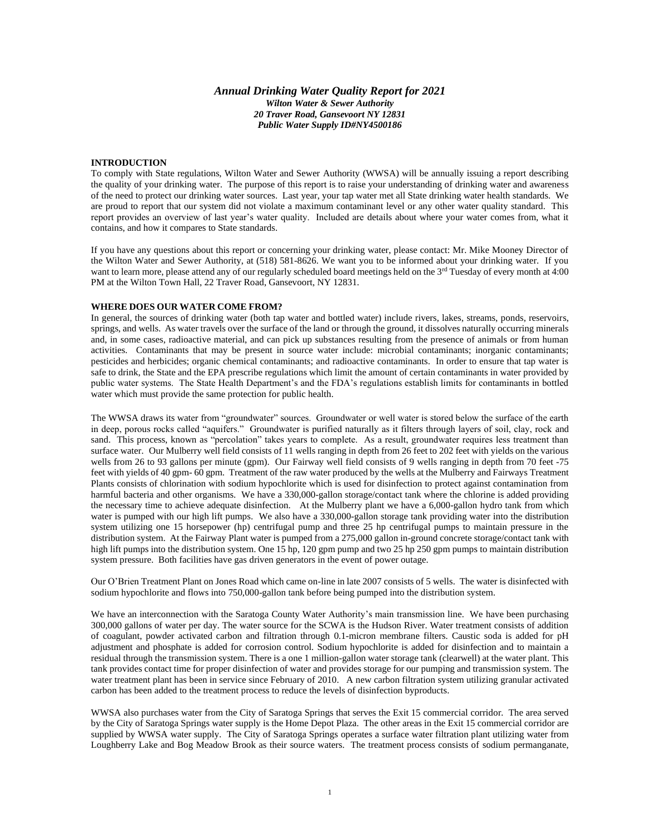## *Annual Drinking Water Quality Report for 2021 Wilton Water & Sewer Authority 20 Traver Road, Gansevoort NY 12831 Public Water Supply ID#NY4500186*

## **INTRODUCTION**

To comply with State regulations, Wilton Water and Sewer Authority (WWSA) will be annually issuing a report describing the quality of your drinking water. The purpose of this report is to raise your understanding of drinking water and awareness of the need to protect our drinking water sources. Last year, your tap water met all State drinking water health standards. We are proud to report that our system did not violate a maximum contaminant level or any other water quality standard. This report provides an overview of last year's water quality. Included are details about where your water comes from, what it contains, and how it compares to State standards.

If you have any questions about this report or concerning your drinking water, please contact: Mr. Mike Mooney Director of the Wilton Water and Sewer Authority, at (518) 581-8626. We want you to be informed about your drinking water. If you want to learn more, please attend any of our regularly scheduled board meetings held on the 3<sup>rd</sup> Tuesday of every month at 4:00 PM at the Wilton Town Hall, 22 Traver Road, Gansevoort, NY 12831.

## **WHERE DOES OUR WATER COME FROM?**

In general, the sources of drinking water (both tap water and bottled water) include rivers, lakes, streams, ponds, reservoirs, springs, and wells. As water travels over the surface of the land or through the ground, it dissolves naturally occurring minerals and, in some cases, radioactive material, and can pick up substances resulting from the presence of animals or from human activities. Contaminants that may be present in source water include: microbial contaminants; inorganic contaminants; pesticides and herbicides; organic chemical contaminants; and radioactive contaminants. In order to ensure that tap water is safe to drink, the State and the EPA prescribe regulations which limit the amount of certain contaminants in water provided by public water systems. The State Health Department's and the FDA's regulations establish limits for contaminants in bottled water which must provide the same protection for public health.

The WWSA draws its water from "groundwater" sources. Groundwater or well water is stored below the surface of the earth in deep, porous rocks called "aquifers." Groundwater is purified naturally as it filters through layers of soil, clay, rock and sand. This process, known as "percolation" takes years to complete. As a result, groundwater requires less treatment than surface water. Our Mulberry well field consists of 11 wells ranging in depth from 26 feet to 202 feet with yields on the various wells from 26 to 93 gallons per minute (gpm). Our Fairway well field consists of 9 wells ranging in depth from 70 feet -75 feet with yields of 40 gpm- 60 gpm. Treatment of the raw water produced by the wells at the Mulberry and Fairways Treatment Plants consists of chlorination with sodium hypochlorite which is used for disinfection to protect against contamination from harmful bacteria and other organisms. We have a 330,000-gallon storage/contact tank where the chlorine is added providing the necessary time to achieve adequate disinfection. At the Mulberry plant we have a 6,000-gallon hydro tank from which water is pumped with our high lift pumps. We also have a 330,000-gallon storage tank providing water into the distribution system utilizing one 15 horsepower (hp) centrifugal pump and three 25 hp centrifugal pumps to maintain pressure in the distribution system. At the Fairway Plant water is pumped from a 275,000 gallon in-ground concrete storage/contact tank with high lift pumps into the distribution system. One 15 hp, 120 gpm pump and two 25 hp 250 gpm pumps to maintain distribution system pressure. Both facilities have gas driven generators in the event of power outage.

Our O'Brien Treatment Plant on Jones Road which came on-line in late 2007 consists of 5 wells. The water is disinfected with sodium hypochlorite and flows into 750,000-gallon tank before being pumped into the distribution system.

We have an interconnection with the Saratoga County Water Authority's main transmission line. We have been purchasing 300,000 gallons of water per day. The water source for the SCWA is the Hudson River. Water treatment consists of addition of coagulant, powder activated carbon and filtration through 0.1-micron membrane filters. Caustic soda is added for pH adjustment and phosphate is added for corrosion control. Sodium hypochlorite is added for disinfection and to maintain a residual through the transmission system. There is a one 1 million-gallon water storage tank (clearwell) at the water plant. This tank provides contact time for proper disinfection of water and provides storage for our pumping and transmission system. The water treatment plant has been in service since February of 2010. A new carbon filtration system utilizing granular activated carbon has been added to the treatment process to reduce the levels of disinfection byproducts.

WWSA also purchases water from the City of Saratoga Springs that serves the Exit 15 commercial corridor. The area served by the City of Saratoga Springs water supply is the Home Depot Plaza. The other areas in the Exit 15 commercial corridor are supplied by WWSA water supply. The City of Saratoga Springs operates a surface water filtration plant utilizing water from Loughberry Lake and Bog Meadow Brook as their source waters. The treatment process consists of sodium permanganate,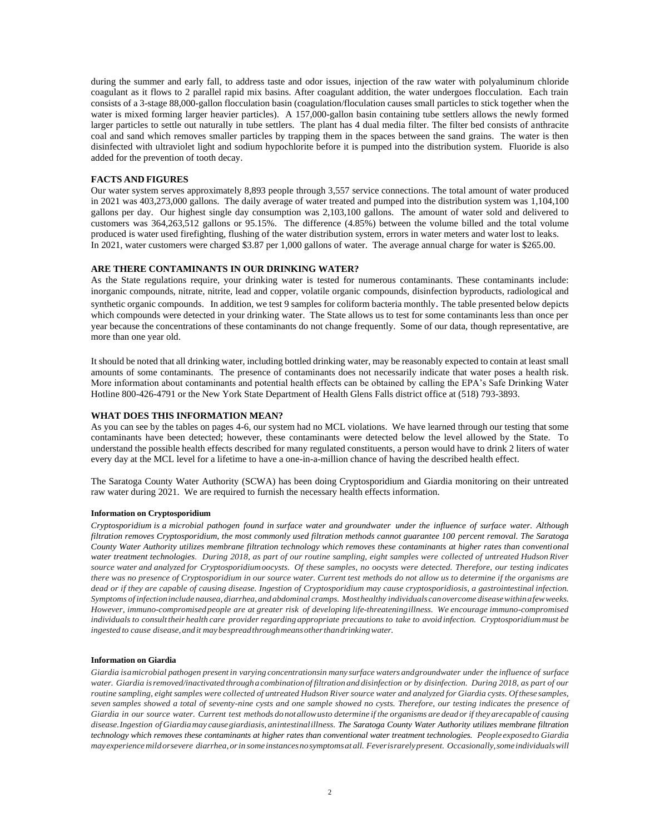during the summer and early fall, to address taste and odor issues, injection of the raw water with polyaluminum chloride coagulant as it flows to 2 parallel rapid mix basins. After coagulant addition, the water undergoes flocculation. Each train consists of a 3-stage 88,000-gallon flocculation basin (coagulation/floculation causes small particles to stick together when the water is mixed forming larger heavier particles). A 157,000-gallon basin containing tube settlers allows the newly formed larger particles to settle out naturally in tube settlers. The plant has 4 dual media filter. The filter bed consists of anthracite coal and sand which removes smaller particles by trapping them in the spaces between the sand grains. The water is then disinfected with ultraviolet light and sodium hypochlorite before it is pumped into the distribution system. Fluoride is also added for the prevention of tooth decay.

### **FACTS AND FIGURES**

Our water system serves approximately 8,893 people through 3,557 service connections. The total amount of water produced in 2021 was 403,273,000 gallons. The daily average of water treated and pumped into the distribution system was 1,104,100 gallons per day. Our highest single day consumption was 2,103,100 gallons. The amount of water sold and delivered to customers was 364,263,512 gallons or 95.15%. The difference (4.85%) between the volume billed and the total volume produced is water used firefighting, flushing of the water distribution system, errors in water meters and water lost to leaks. In 2021, water customers were charged \$3.87 per 1,000 gallons of water. The average annual charge for water is \$265.00.

## **ARE THERE CONTAMINANTS IN OUR DRINKING WATER?**

As the State regulations require, your drinking water is tested for numerous contaminants. These contaminants include: inorganic compounds, nitrate, nitrite, lead and copper, volatile organic compounds, disinfection byproducts, radiological and synthetic organic compounds. In addition, we test 9 samples for coliform bacteria monthly. The table presented below depicts which compounds were detected in your drinking water. The State allows us to test for some contaminants less than once per year because the concentrations of these contaminants do not change frequently. Some of our data, though representative, are more than one year old.

It should be noted that all drinking water, including bottled drinking water, may be reasonably expected to contain at least small amounts of some contaminants. The presence of contaminants does not necessarily indicate that water poses a health risk. More information about contaminants and potential health effects can be obtained by calling the EPA's Safe Drinking Water Hotline 800-426-4791 or the New York State Department of Health Glens Falls district office at (518) 793-3893.

#### **WHAT DOES THIS INFORMATION MEAN?**

As you can see by the tables on pages 4-6, our system had no MCL violations. We have learned through our testing that some contaminants have been detected; however, these contaminants were detected below the level allowed by the State. To understand the possible health effects described for many regulated constituents, a person would have to drink 2 liters of water every day at the MCL level for a lifetime to have a one-in-a-million chance of having the described health effect.

The Saratoga County Water Authority (SCWA) has been doing Cryptosporidium and Giardia monitoring on their untreated raw water during 2021. We are required to furnish the necessary health effects information.

#### **Information on Cryptosporidium**

Cryptosporidium is a microbial pathogen found in surface water and groundwater under the influence of surface water. Although *filtration removes Cryptosporidium, the most commonly used filtration methods cannot guarantee 100 percent removal. The Saratoga County Water Authority utilizes membrane filtration technology which removes these contaminants at higher rates than conventional water treatment technologies. During 2018, as part of our routine sampling, eight samples were collected of untreated Hudson River source water and analyzed for Cryptosporidiumoocysts. Of these samples, no oocysts were detected. Therefore, our testing indicates there was no presence of Cryptosporidium in our source water. Current test methods do not allow us to determine if the organisms are*  dead or if they are capable of causing disease. Ingestion of Cryptosporidium may cause cryptosporidiosis, a gastrointestinal infection. *Symptoms of infectioninclude nausea, diarrhea,andabdominal cramps. Mosthealthy individuals canovercome diseasewithinafewweeks. However, immuno-compromisedpeople are at greater risk of developing life-threateningillness. We encourage immuno-compromised* individuals to consult their health care provider regarding appropriate precautions to take to avoid infection. Cryptosporidium must be *ingested to cause disease,andit maybespreadthroughmeansotherthandrinkingwater.*

#### **Information on Giardia**

Giardia isamicrobial pathogen present in varying concentrationsin many surface waters and groundwater under the influence of surface *water. Giardia isremoved/inactivated throughacombinationof filtrationand disinfection or by disinfection. During 2018, as part of our routine sampling, eight samples were collected of untreated Hudson River source water and analyzed for Giardia cysts. Of these samples, seven samples showed a total of seventy-nine cysts and one sample showed no cysts. Therefore, our testing indicates the presence of Giardia in our source water. Current test methods donot allowusto determine if the organisms are deadorif theyarecapable of causing disease.Ingestion of Giardiamay causegiardiasis, anintestinalillness. The Saratoga County Water Authority utilizes membrane filtration technology which removes these contaminants at higher rates than conventional water treatment technologies. People exposedto Giardia mayexperiencemildorsevere diarrhea,orin someinstancesnosymptomsat all. Feverisrarelypresent. Occasionally,someindividualswill*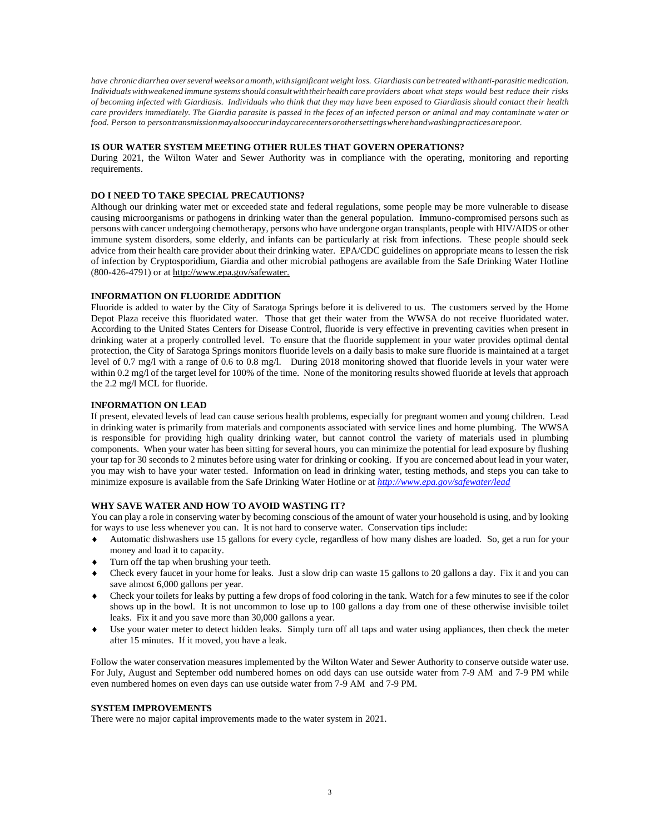*have chronic diarrhea overseveral weeksor amonth,withsignificant weight loss. Giardiasis can betreated withanti-parasiticmedication. Individualswithweakened immune systemsshouldconsultwiththeirhealthcare providers about what steps would best reduce their risks of becoming infected with Giardiasis. Individuals who think that they may have been exposed to Giardiasis should contact their health care providers immediately. The Giardia parasite is passed in the feces of an infected person or animal and may contaminate water or food. Person to persontransmissionmayalsooccurindaycarecentersorothersettingswherehandwashingpracticesarepoor.*

## **IS OUR WATER SYSTEM MEETING OTHER RULES THAT GOVERN OPERATIONS?**

During 2021, the Wilton Water and Sewer Authority was in compliance with the operating, monitoring and reporting requirements.

## **DO I NEED TO TAKE SPECIAL PRECAUTIONS?**

Although our drinking water met or exceeded state and federal regulations, some people may be more vulnerable to disease causing microorganisms or pathogens in drinking water than the general population. Immuno-compromised persons such as persons with cancer undergoing chemotherapy, persons who have undergone organ transplants, people with HIV/AIDS or other immune system disorders, some elderly, and infants can be particularly at risk from infections. These people should seek advice from their health care provider about their drinking water. EPA/CDC guidelines on appropriate means to lessen the risk of infection by Cryptosporidium, Giardia and other microbial pathogens are available from the Safe Drinking Water Hotline (800-426-4791) or at http://www.epa.gov/safewater.

## **INFORMATION ON FLUORIDE ADDITION**

Fluoride is added to water by the City of Saratoga Springs before it is delivered to us. The customers served by the Home Depot Plaza receive this fluoridated water. Those that get their water from the WWSA do not receive fluoridated water. According to the United States Centers for Disease Control, fluoride is very effective in preventing cavities when present in drinking water at a properly controlled level. To ensure that the fluoride supplement in your water provides optimal dental protection, the City of Saratoga Springs monitors fluoride levels on a daily basis to make sure fluoride is maintained at a target level of 0.7 mg/l with a range of 0.6 to 0.8 mg/l. During 2018 monitoring showed that fluoride levels in your water were within 0.2 mg/l of the target level for 100% of the time. None of the monitoring results showed fluoride at levels that approach the 2.2 mg/l MCL for fluoride.

## **INFORMATION ON LEAD**

If present, elevated levels of lead can cause serious health problems, especially for pregnant women and young children. Lead in drinking water is primarily from materials and components associated with service lines and home plumbing. The WWSA is responsible for providing high quality drinking water, but cannot control the variety of materials used in plumbing components. When your water has been sitting for several hours, you can minimize the potential for lead exposure by flushing your tap for 30 seconds to 2 minutes before using water for drinking or cooking. If you are concerned about lead in your water, you may wish to have your water tested. Information on lead in drinking water, testing methods, and steps you can take to minimize exposure is available from the Safe Drinking Water Hotline or at *<http://www.epa.gov/safewater/lead>*

## **WHY SAVE WATER AND HOW TO AVOID WASTING IT?**

You can play a role in conserving water by becoming conscious of the amount of water your household is using, and by looking for ways to use less whenever you can. It is not hard to conserve water. Conservation tips include:

- Automatic dishwashers use 15 gallons for every cycle, regardless of how many dishes are loaded. So, get a run for your money and load it to capacity.
- Turn off the tap when brushing your teeth.
- Check every faucet in your home for leaks. Just a slow drip can waste 15 gallons to 20 gallons a day. Fix it and you can save almost 6,000 gallons per year.
- Check your toilets for leaks by putting a few drops of food coloring in the tank. Watch for a few minutes to see if the color shows up in the bowl. It is not uncommon to lose up to 100 gallons a day from one of these otherwise invisible toilet leaks. Fix it and you save more than 30,000 gallons a year.
- Use your water meter to detect hidden leaks. Simply turn off all taps and water using appliances, then check the meter after 15 minutes. If it moved, you have a leak.

Follow the water conservation measures implemented by the Wilton Water and Sewer Authority to conserve outside water use. For July, August and September odd numbered homes on odd days can use outside water from 7-9 AM and 7-9 PM while even numbered homes on even days can use outside water from 7-9 AM and 7-9 PM.

## **SYSTEM IMPROVEMENTS**

There were no major capital improvements made to the water system in 2021.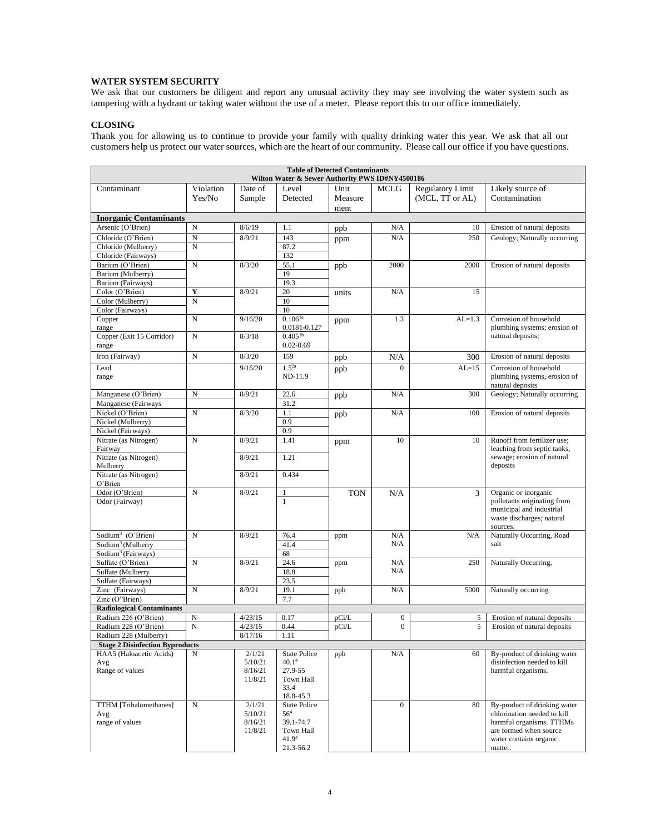# **WATER SYSTEM SECURITY**

We ask that our customers be diligent and report any unusual activity they may see involving the water system such as tampering with a hydrant or taking water without the use of a meter. Please report this to our office immediately.

# **CLOSING**

Thank you for allowing us to continue to provide your family with quality drinking water this year. We ask that all our customers help us protect our water sources, which are the heart of our community. Please call our office if you have questions.

| <b>Table of Detected Contaminants</b>                                                                                                                       |                |                    |                       |            |                  |                         |                                                         |  |  |
|-------------------------------------------------------------------------------------------------------------------------------------------------------------|----------------|--------------------|-----------------------|------------|------------------|-------------------------|---------------------------------------------------------|--|--|
| Wilton Water & Sewer Authority PWS ID#NY4500186                                                                                                             |                |                    |                       |            |                  |                         |                                                         |  |  |
| Contaminant                                                                                                                                                 | Violation      | Date of            | Level                 | Unit       | MCLG             | <b>Regulatory Limit</b> | Likely source of                                        |  |  |
|                                                                                                                                                             | Yes/No         | Sample             | Detected              | Measure    |                  | (MCL, TT or AL)         | Contamination                                           |  |  |
|                                                                                                                                                             |                |                    |                       | ment       |                  |                         |                                                         |  |  |
| <b>Inorganic Contaminants</b>                                                                                                                               |                |                    |                       |            |                  |                         |                                                         |  |  |
| Arsenic (O'Brien)                                                                                                                                           | $\mathbf N$    | 8/6/19             | 1.1                   | ppb        | N/A              | 10                      | Erosion of natural deposits                             |  |  |
| Chloride (O'Brien)                                                                                                                                          | $\overline{N}$ | 8/9/21             | 143                   | ppm        | N/A              | 250                     | Geology; Naturally occurring                            |  |  |
| Chloride (Mulberry)                                                                                                                                         | $\mathbf N$    |                    | 87.2                  |            |                  |                         |                                                         |  |  |
| Chloride (Fairways)                                                                                                                                         |                |                    | 132                   |            |                  |                         |                                                         |  |  |
| Barium (O'Brien)                                                                                                                                            | $\mathbf N$    | 8/3/20             | 55.1                  | ppb        | 2000             | 2000                    | Erosion of natural deposits                             |  |  |
| Barium (Mulberry)                                                                                                                                           |                |                    | 19                    |            |                  |                         |                                                         |  |  |
| Barium (Fairways)                                                                                                                                           |                |                    | 19.3                  |            |                  |                         |                                                         |  |  |
| Color (O'Brien)                                                                                                                                             | Y              | 8/9/21             | 20                    | units      | N/A              | 15                      |                                                         |  |  |
| Color (Mulberry)<br>Color (Fairways)                                                                                                                        | $\mathbf N$    |                    | $10\,$<br>10          |            |                  |                         |                                                         |  |  |
| Copper                                                                                                                                                      | $\mathbf N$    | 9/16/20            | $0.106^{1a}$          |            | 1.3              | $AL=1.3$                | Corrosion of household                                  |  |  |
| range                                                                                                                                                       |                |                    | 0.0181-0.127          | ppm        |                  |                         | plumbing systems; erosion of                            |  |  |
| Copper (Exit 15 Corridor)                                                                                                                                   | $\mathbf N$    | 8/3/18             | $0.405^{1b}$          |            |                  |                         | natural deposits;                                       |  |  |
| range                                                                                                                                                       |                |                    | $0.02 - 0.69$         |            |                  |                         |                                                         |  |  |
| Iron (Fairway)                                                                                                                                              | ${\bf N}$      | 8/3/20             | 159                   | ppb        | N/A              | 300                     | Erosion of natural deposits                             |  |  |
|                                                                                                                                                             |                |                    |                       |            |                  |                         |                                                         |  |  |
| Lead                                                                                                                                                        |                | 9/16/20            | $1.5^{2a}$<br>ND-11.9 | ppb        | $\overline{0}$   | $AL=15$                 | Corrosion of household<br>plumbing systems, erosion of  |  |  |
| range                                                                                                                                                       |                |                    |                       |            |                  |                         | natural deposits                                        |  |  |
| Manganese (O'Brien)                                                                                                                                         | N              | 8/9/21             | 22.6                  | ppb        | N/A              | 300                     | Geology; Naturally occurring                            |  |  |
| Manganese (Fairways                                                                                                                                         |                |                    | 31.2                  |            |                  |                         |                                                         |  |  |
| Nickel (O'Brien)                                                                                                                                            | N              | 8/3/20             | 1.1                   | ppb        | N/A              | 100                     | Erosion of natural deposits                             |  |  |
| Nickel (Mulberry)                                                                                                                                           |                |                    | 0.9                   |            |                  |                         |                                                         |  |  |
| Nickel (Fairways)                                                                                                                                           |                |                    | 0.9                   |            |                  |                         |                                                         |  |  |
| Nitrate (as Nitrogen)                                                                                                                                       | $\mathbf N$    | 8/9/21             | 1.41                  | ppm        | 10               | 10                      | Runoff from fertilizer use;                             |  |  |
| Fairway                                                                                                                                                     |                |                    |                       |            |                  |                         | leaching from septic tanks,                             |  |  |
| Nitrate (as Nitrogen)                                                                                                                                       |                | 8/9/21             | 1.21                  |            |                  |                         | sewage; erosion of natural                              |  |  |
| Mulberry                                                                                                                                                    |                |                    |                       |            |                  |                         | deposits                                                |  |  |
| Nitrate (as Nitrogen)                                                                                                                                       |                | 8/9/21             | 0.434                 |            |                  |                         |                                                         |  |  |
| O'Brien                                                                                                                                                     |                |                    |                       |            |                  |                         |                                                         |  |  |
| Odor (O'Brien)                                                                                                                                              | $\mathbf N$    | 8/9/21             | $\mathbf{1}$          | <b>TON</b> | N/A              | 3                       | Organic or inorganic                                    |  |  |
| Odor (Fairway)                                                                                                                                              |                |                    | $\mathbf{1}$          |            |                  |                         | pollutants originating from<br>municipal and industrial |  |  |
|                                                                                                                                                             |                |                    |                       |            |                  |                         | waste discharges; natural                               |  |  |
|                                                                                                                                                             |                |                    |                       |            |                  |                         | sources.                                                |  |  |
| Sodium <sup>3</sup> (O'Brien)                                                                                                                               | $\mathbf N$    | 8/9/21             | 76.4                  | ppm        | N/A              | N/A                     | Naturally Occurring, Road                               |  |  |
| Sodium <sup>3</sup> (Mulberry                                                                                                                               |                |                    | 41.4                  |            | N/A              |                         | salt                                                    |  |  |
| Sodium <sup>3</sup> (Fairways)                                                                                                                              |                |                    | 68                    |            |                  |                         |                                                         |  |  |
| Sulfate (O'Brien)                                                                                                                                           | $\mathbf N$    | 8/9/21             | 24.6                  | ppm        | N/A              | 250                     | Naturally Occurring,                                    |  |  |
| Sulfate (Mulberry                                                                                                                                           |                |                    | 18.8                  |            | N/A              |                         |                                                         |  |  |
| Sulfate (Fairways)                                                                                                                                          |                |                    | 23.5                  |            |                  |                         |                                                         |  |  |
| Zinc (Fairways)                                                                                                                                             | $\mathbf N$    | 8/9/21             | 19.1                  | ppb        | N/A              | 5000                    | Naturally occurring                                     |  |  |
| Zinc (O"Brien)                                                                                                                                              |                |                    | 7.7                   |            |                  |                         |                                                         |  |  |
| <b>Radiological Contaminants</b>                                                                                                                            |                |                    |                       |            |                  |                         |                                                         |  |  |
| Radium 226 (O'Brien)                                                                                                                                        | N              | 4/23/15            | 0.17                  | pCi/L      | $\boldsymbol{0}$ | 5                       | Erosion of natural deposits                             |  |  |
| Radium 228 (O'Brien)                                                                                                                                        | $\mathbf N$    | 4/23/15<br>8/17/16 | 0.44<br>1.11          | pCi/L      | $\boldsymbol{0}$ | 5                       | Erosion of natural deposits                             |  |  |
| Radium 228 (Mulberry)                                                                                                                                       |                |                    |                       |            |                  |                         |                                                         |  |  |
| <b>Stage 2 Disinfection Byproducts</b><br>HAA5 (Haloacetic Acids)<br>2/1/21<br>By-product of drinking water<br>N<br><b>State Police</b><br>N/A<br>60<br>ppb |                |                    |                       |            |                  |                         |                                                         |  |  |
| Avg                                                                                                                                                         |                | 5/10/21            | 40.1 <sup>4</sup>     |            |                  |                         | disinfection needed to kill                             |  |  |
| Range of values                                                                                                                                             |                | 8/16/21            | 27.9-55               |            |                  |                         | harmful organisms.                                      |  |  |
|                                                                                                                                                             |                | 11/8/21            | Town Hall             |            |                  |                         |                                                         |  |  |
|                                                                                                                                                             |                |                    | 33.4                  |            |                  |                         |                                                         |  |  |
|                                                                                                                                                             |                |                    | $18.8 - 45.3$         |            |                  |                         |                                                         |  |  |
| TTHM [Trihalomethanes]                                                                                                                                      | $\mathbf N$    | 2/1/21             | <b>State Police</b>   |            | $\mathbf{0}$     | 80                      | By-product of drinking water                            |  |  |
| Avg<br>range of values                                                                                                                                      |                | 5/10/21<br>8/16/21 | $56^{4}$<br>39.1-74.7 |            |                  |                         | chlorination needed to kill<br>harmful organisms. TTHMs |  |  |
|                                                                                                                                                             |                | 11/8/21            | Town Hall             |            |                  |                         | are formed when source                                  |  |  |
|                                                                                                                                                             |                |                    | 41.9 <sup>4</sup>     |            |                  |                         | water contains organic                                  |  |  |
|                                                                                                                                                             |                |                    | 21.3-56.2             |            |                  |                         | matter.                                                 |  |  |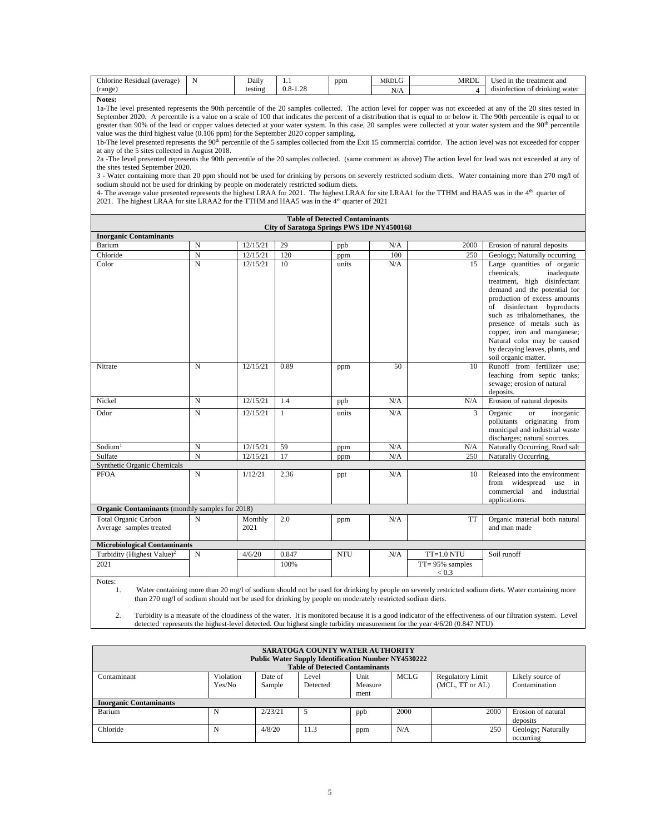| ~<br>hlorine<br><i>s</i> average<br><b>Residual</b> | Dailv   | .                                       | ppm<br>. . | <b>MRDL</b>     | MRDI | e treatment and<br>the<br>1n<br>Jsed          |
|-----------------------------------------------------|---------|-----------------------------------------|------------|-----------------|------|-----------------------------------------------|
| (range<br>$\sim$                                    | testing | $\cap$<br>$\Omega$<br>$0.0 - 7$<br>1.2c |            | .<br>$\sqrt{2}$ |      | .<br>drinking water<br>antection.<br>A1S<br>. |

**Notes:**

1a-The level presented represents the 90th percentile of the 20 samples collected. The action level for copper was not exceeded at any of the 20 sites tested in September 2020. A percentile is a value on a scale of 100 that indicates the percent of a distribution that is equal to or below it. The 90th percentile is equal to or greater than 90% of the lead or copper values detected at your water system. In this case, 20 samples were collected at your water system and the 90<sup>th</sup> percentile value was the third highest value (0.106 ppm) for the September 2020 copper sampling.

1b-The level presented represents the 90<sup>th</sup> percentile of the 5 samples collected from the Exit 15 commercial corridor. The action level was not exceeded for copper at any of the 5 sites collected in August 2018.

2a -The level presented represents the 90th percentile of the 20 samples collected. (same comment as above) The action level for lead was not exceeded at any of the sites tested September 2020.

3 - Water containing more than 20 ppm should not be used for drinking by persons on severely restricted sodium diets. Water containing more than 270 mg/l of sodium should not be used for drinking by people on moderately restricted sodium diets.

4- The average value presented represents the highest LRAA for 2021. The highest LRAA for site LRAA1 for the TTHM and HAA5 was in the  $4<sup>th</sup>$  quarter of 2021. The highest LRAA for site LRAA2 for the TTHM and HAA5 was in the 4<sup>th</sup> quarter of 2021

|                                                        |                |                 |       | <b>Table of Detected Contaminants</b><br>City of Saratoga Springs PWS ID# NY4500168 |     |                              |                                                                                                                                                                                                                                                                                                                                                                              |  |  |
|--------------------------------------------------------|----------------|-----------------|-------|-------------------------------------------------------------------------------------|-----|------------------------------|------------------------------------------------------------------------------------------------------------------------------------------------------------------------------------------------------------------------------------------------------------------------------------------------------------------------------------------------------------------------------|--|--|
| <b>Inorganic Contaminants</b>                          |                |                 |       |                                                                                     |     |                              |                                                                                                                                                                                                                                                                                                                                                                              |  |  |
| Barium                                                 | $\mathbf N$    | 12/15/21        | 29    | ppb                                                                                 | N/A | 2000                         | Erosion of natural deposits                                                                                                                                                                                                                                                                                                                                                  |  |  |
| Chloride                                               | $\mathbf N$    | 12/15/21        | 120   | ppm                                                                                 | 100 | 250                          | Geology; Naturally occurring                                                                                                                                                                                                                                                                                                                                                 |  |  |
| Color                                                  | $\mathbf N$    | 12/15/21        | 10    | units                                                                               | N/A | 15                           | Large quantities of organic<br>chemicals.<br>inadequate<br>treatment, high disinfectant<br>demand and the potential for<br>production of excess amounts<br>of disinfectant byproducts<br>such as trihalomethanes, the<br>presence of metals such as<br>copper, iron and manganese;<br>Natural color may be caused<br>by decaying leaves, plants, and<br>soil organic matter. |  |  |
| Nitrate                                                | $\mathbf N$    | 12/15/21        | 0.89  | ppm                                                                                 | 50  | 10                           | Runoff from fertilizer use:<br>leaching from septic tanks;<br>sewage; erosion of natural<br>deposits.                                                                                                                                                                                                                                                                        |  |  |
| Nickel                                                 | $\mathbf N$    | 12/15/21        | 1.4   | ppb                                                                                 | N/A | N/A                          | Erosion of natural deposits                                                                                                                                                                                                                                                                                                                                                  |  |  |
| Odor                                                   | N              | 12/15/21        | 1     | units                                                                               | N/A | 3                            | Organic<br>$\alpha$<br>inorganic<br>pollutants originating from<br>municipal and industrial waste<br>discharges; natural sources.                                                                                                                                                                                                                                            |  |  |
| Sodium <sup>1</sup>                                    | $\mathbf N$    | 12/15/21        | 59    | ppm                                                                                 | N/A | N/A                          | Naturally Occurring, Road salt                                                                                                                                                                                                                                                                                                                                               |  |  |
| Sulfate                                                | $\overline{N}$ | 12/15/21        | 17    | ppm                                                                                 | N/A | 250                          | Naturally Occurring,                                                                                                                                                                                                                                                                                                                                                         |  |  |
| Synthetic Organic Chemicals                            |                |                 |       |                                                                                     |     |                              |                                                                                                                                                                                                                                                                                                                                                                              |  |  |
| <b>PFOA</b>                                            | $\mathbf N$    | 1/12/21         | 2.36  | ppt                                                                                 | N/A | 10                           | Released into the environment<br>from widespread<br>use<br>in<br>commercial<br>and<br>industrial<br>applications.                                                                                                                                                                                                                                                            |  |  |
| <b>Organic Contaminants</b> (monthly samples for 2018) |                |                 |       |                                                                                     |     |                              |                                                                                                                                                                                                                                                                                                                                                                              |  |  |
| <b>Total Organic Carbon</b><br>Average samples treated | N              | Monthly<br>2021 | 2.0   | ppm                                                                                 | N/A | TT                           | Organic material both natural<br>and man made                                                                                                                                                                                                                                                                                                                                |  |  |
| <b>Microbiological Contaminants</b>                    |                |                 |       |                                                                                     |     |                              |                                                                                                                                                                                                                                                                                                                                                                              |  |  |
| Turbidity (Highest Value) <sup>2</sup>                 | $\mathbf N$    | 4/6/20          | 0.847 | <b>NTU</b>                                                                          | N/A | $TT=1.0 NTU$                 | Soil runoff                                                                                                                                                                                                                                                                                                                                                                  |  |  |
| 2021                                                   |                |                 | 100%  |                                                                                     |     | $TT = 95\%$ samples<br>< 0.3 |                                                                                                                                                                                                                                                                                                                                                                              |  |  |
| Notes:                                                 |                |                 |       |                                                                                     |     |                              |                                                                                                                                                                                                                                                                                                                                                                              |  |  |

1. Water containing more than 20 mg/l of sodium should not be used for drinking by people on severely restricted sodium diets. Water containing more than 270 mg/l of sodium should not be used for drinking by people on moderately restricted sodium diets.

2. Turbidity is a measure of the cloudiness of the water. It is monitored because it is a good indicator of the effectiveness of our filtration system. Level detected represents the highest-level detected. Our highest single turbidity measurement for the year 4/6/20 (0.847 NTU)

| <b>SARATOGA COUNTY WATER AUTHORITY</b><br><b>Public Water Supply Identification Number NY4530222</b><br><b>Table of Detected Contaminants</b>                                                      |   |         |      |     |      |      |                                 |  |  |
|----------------------------------------------------------------------------------------------------------------------------------------------------------------------------------------------------|---|---------|------|-----|------|------|---------------------------------|--|--|
| Violation<br>MCLG<br>Contaminant<br><b>Regulatory Limit</b><br>Likely source of<br>Date of<br>Unit<br>Level<br>Contamination<br>(MCL, TT or AL)<br>Yes/No<br>Sample<br>Detected<br>Measure<br>ment |   |         |      |     |      |      |                                 |  |  |
| <b>Inorganic Contaminants</b>                                                                                                                                                                      |   |         |      |     |      |      |                                 |  |  |
| Barium                                                                                                                                                                                             | N | 2/23/21 | 5    | ppb | 2000 | 2000 | Erosion of natural<br>deposits  |  |  |
| Chloride                                                                                                                                                                                           | N | 4/8/20  | 11.3 | ppm | N/A  | 250  | Geology; Naturally<br>occurring |  |  |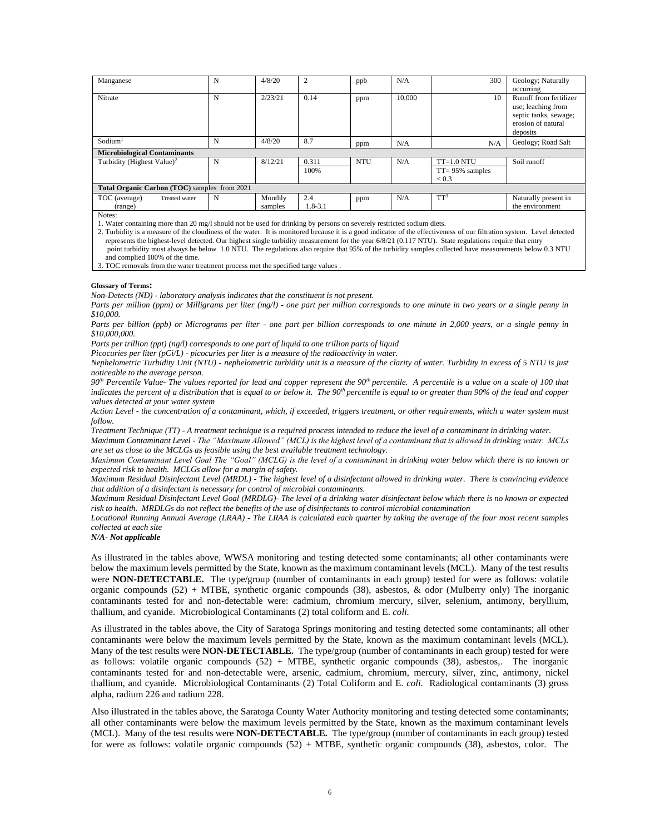| Manganese                                    | N | 4/8/20  | $\overline{2}$ | ppb        | N/A    | 300                 | Geology; Naturally     |  |  |
|----------------------------------------------|---|---------|----------------|------------|--------|---------------------|------------------------|--|--|
|                                              |   |         |                |            |        |                     | occurring              |  |  |
| Nitrate                                      | N | 2/23/21 | 0.14           | ppm        | 10.000 | 10                  | Runoff from fertilizer |  |  |
|                                              |   |         |                |            |        |                     | use; leaching from     |  |  |
|                                              |   |         |                |            |        |                     | septic tanks, sewage;  |  |  |
|                                              |   |         |                |            |        |                     | erosion of natural     |  |  |
|                                              |   |         |                |            |        |                     | deposits               |  |  |
| Sodium <sup>1</sup>                          | N | 4/8/20  | 8.7            | ppm        | N/A    | N/A                 | Geology; Road Salt     |  |  |
| <b>Microbiological Contaminants</b>          |   |         |                |            |        |                     |                        |  |  |
| Turbidity (Highest Value) <sup>2</sup>       | N | 8/12/21 | 0.311          | <b>NTU</b> | N/A    | $TT=1.0 NTU$        | Soil runoff            |  |  |
|                                              |   |         | 100%           |            |        | $TT = 95\%$ samples |                        |  |  |
|                                              |   |         |                |            |        | ${}_{0.3}$          |                        |  |  |
| Total Organic Carbon (TOC) samples from 2021 |   |         |                |            |        |                     |                        |  |  |
| TOC (average)<br>Treated water               | N | Monthly | 2.4            | ppm        | N/A    | $TT^3$              | Naturally present in   |  |  |
| (range)                                      |   | samples | $1.8 - 3.1$    |            |        |                     | the environment        |  |  |
| Matoor                                       |   |         |                |            |        |                     |                        |  |  |

Notes:

1. Water containing more than 20 mg/l should not be used for drinking by persons on severely restricted sodium diets.

2. Turbidity is a measure of the cloudiness of the water. It is monitored because it is a good indicator of the effectiveness of our filtration system. Level detected represents the highest-level detected. Our highest single turbidity measurement for the year 6/8/21 (0.117 NTU). State regulations require that entry point turbidity must always be below 1.0 NTU. The regulations also require that 95% of the turbidity samples collected have measurements below 0.3 NTU and complied 100% of the time.

3. TOC removals from the water treatment process met the specified targe values .

#### **Glossary of Terms:**

*Non-Detects (ND) - laboratory analysis indicates that the constituent is not present.*

*Parts per million (ppm) or Milligrams per liter (mg/l) - one part per million corresponds to one minute in two years or a single penny in \$10,000.*

*Parts per billion (ppb) or Micrograms per liter - one part per billion corresponds to one minute in 2,000 years, or a single penny in \$10,000,000.* 

*Parts per trillion (ppt) (ng/l) corresponds to one part of liquid to one trillion parts of liquid* 

*Picocuries per liter (pCi/L) - picocuries per liter is a measure of the radioactivity in water.*

*Nephelometric Turbidity Unit (NTU) - nephelometric turbidity unit is a measure of the clarity of water. Turbidity in excess of 5 NTU is just noticeable to the average person.*

*90th Percentile Value- The values reported for lead and copper represent the 90th percentile. A percentile is a value on a scale of 100 that indicates the percent of a distribution that is equal to or below it. The 90<sup>th</sup> percentile is equal to or greater than 90% of the lead and copper values detected at your water system*

*Action Level - the concentration of a contaminant, which, if exceeded, triggers treatment, or other requirements, which a water system must follow.*

*Treatment Technique (TT) - A treatment technique is a required process intended to reduce the level of a contaminant in drinking water.*

*Maximum Contaminant Level - The "Maximum Allowed" (MCL) is the highest level of a contaminant that is allowed in drinking water. MCLs are set as close to the MCLGs as feasible using the best available treatment technology.*

*Maximum Contaminant Level Goal The "Goal" (MCLG) is the level of a contaminant in drinking water below which there is no known or expected risk to health. MCLGs allow for a margin of safety.*

*Maximum Residual Disinfectant Level (MRDL) - The highest level of a disinfectant allowed in drinking water. There is convincing evidence that addition of a disinfectant is necessary for control of microbial contaminants.*

*Maximum Residual Disinfectant Level Goal (MRDLG)- The level of a drinking water disinfectant below which there is no known or expected risk to health. MRDLGs do not reflect the benefits of the use of disinfectants to control microbial contamination*

*Locational Running Annual Average (LRAA) - The LRAA is calculated each quarter by taking the average of the four most recent samples collected at each site*

*N/A- Not applicable*

As illustrated in the tables above, WWSA monitoring and testing detected some contaminants; all other contaminants were below the maximum levels permitted by the State, known as the maximum contaminant levels (MCL). Many of the test results were **NON-DETECTABLE.** The type/group (number of contaminants in each group) tested for were as follows: volatile organic compounds  $(52)$  + MTBE, synthetic organic compounds  $(38)$ , asbestos, & odor (Mulberry only) The inorganic contaminants tested for and non-detectable were: cadmium, chromium mercury, silver, selenium, antimony, beryllium, thallium, and cyanide. Microbiological Contaminants (2) total coliform and E. *coli.*

As illustrated in the tables above, the City of Saratoga Springs monitoring and testing detected some contaminants; all other contaminants were below the maximum levels permitted by the State, known as the maximum contaminant levels (MCL). Many of the test results were **NON-DETECTABLE.** The type/group (number of contaminants in each group) tested for were as follows: volatile organic compounds (52) + MTBE, synthetic organic compounds (38), asbestos,. The inorganic contaminants tested for and non-detectable were, arsenic, cadmium, chromium, mercury, silver, zinc, antimony, nickel thallium, and cyanide. Microbiological Contaminants (2) Total Coliform and E. *coli.* Radiological contaminants (3) gross alpha, radium 226 and radium 228.

Also illustrated in the tables above, the Saratoga County Water Authority monitoring and testing detected some contaminants; all other contaminants were below the maximum levels permitted by the State, known as the maximum contaminant levels (MCL). Many of the test results were **NON-DETECTABLE.** The type/group (number of contaminants in each group) tested for were as follows: volatile organic compounds (52) + MTBE, synthetic organic compounds (38), asbestos, color. The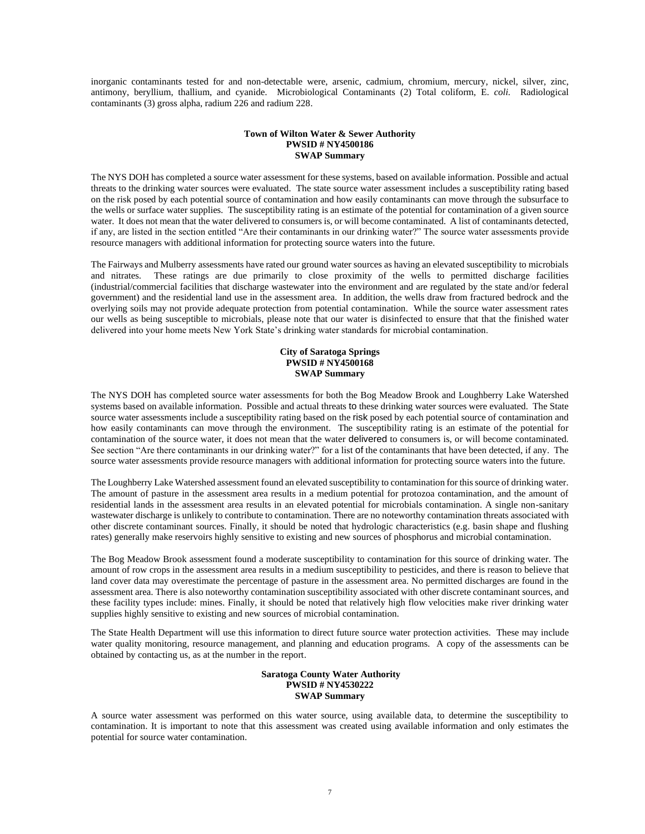inorganic contaminants tested for and non-detectable were, arsenic, cadmium, chromium, mercury, nickel, silver, zinc, antimony, beryllium, thallium, and cyanide. Microbiological Contaminants (2) Total coliform, E. *coli.* Radiological contaminants (3) gross alpha, radium 226 and radium 228.

## **Town of Wilton Water & Sewer Authority PWSID # NY4500186 SWAP Summary**

The NYS DOH has completed a source water assessment for these systems, based on available information. Possible and actual threats to the drinking water sources were evaluated. The state source water assessment includes a susceptibility rating based on the risk posed by each potential source of contamination and how easily contaminants can move through the subsurface to the wells or surface water supplies. The susceptibility rating is an estimate of the potential for contamination of a given source water. It does not mean that the water delivered to consumers is, or will become contaminated. A list of contaminants detected, if any, are listed in the section entitled "Are their contaminants in our drinking water?" The source water assessments provide resource managers with additional information for protecting source waters into the future.

The Fairways and Mulberry assessments have rated our ground water sources as having an elevated susceptibility to microbials and nitrates. These ratings are due primarily to close proximity of the wells to permitted discharge facilities (industrial/commercial facilities that discharge wastewater into the environment and are regulated by the state and/or federal government) and the residential land use in the assessment area. In addition, the wells draw from fractured bedrock and the overlying soils may not provide adequate protection from potential contamination. While the source water assessment rates our wells as being susceptible to microbials, please note that our water is disinfected to ensure that that the finished water delivered into your home meets New York State's drinking water standards for microbial contamination.

## **City of Saratoga Springs PWSID # NY4500168 SWAP Summary**

The NYS DOH has completed source water assessments for both the Bog Meadow Brook and Loughberry Lake Watershed systems based on available information. Possible and actual threats to these drinking water sources were evaluated. The State source water assessments include a susceptibility rating based on the risk posed by each potential source of contamination and how easily contaminants can move through the environment. The susceptibility rating is an estimate of the potential for contamination of the source water, it does not mean that the water delivered to consumers is, or will become contaminated. See section "Are there contaminants in our drinking water?" for a list of the contaminants that have been detected, if any. The source water assessments provide resource managers with additional information for protecting source waters into the future.

The Loughberry Lake Watershed assessment found an elevated susceptibility to contamination for this source of drinking water. The amount of pasture in the assessment area results in a medium potential for protozoa contamination, and the amount of residential lands in the assessment area results in an elevated potential for microbials contamination. A single non-sanitary wastewater discharge is unlikely to contribute to contamination. There are no noteworthy contamination threats associated with other discrete contaminant sources. Finally, it should be noted that hydrologic characteristics (e.g. basin shape and flushing rates) generally make reservoirs highly sensitive to existing and new sources of phosphorus and microbial contamination.

The Bog Meadow Brook assessment found a moderate susceptibility to contamination for this source of drinking water. The amount of row crops in the assessment area results in a medium susceptibility to pesticides, and there is reason to believe that land cover data may overestimate the percentage of pasture in the assessment area. No permitted discharges are found in the assessment area. There is also noteworthy contamination susceptibility associated with other discrete contaminant sources, and these facility types include: mines. Finally, it should be noted that relatively high flow velocities make river drinking water supplies highly sensitive to existing and new sources of microbial contamination.

The State Health Department will use this information to direct future source water protection activities. These may include water quality monitoring, resource management, and planning and education programs. A copy of the assessments can be obtained by contacting us, as at the number in the report.

#### **Saratoga County Water Authority PWSID # NY4530222 SWAP Summary**

A source water assessment was performed on this water source, using available data, to determine the susceptibility to contamination. It is important to note that this assessment was created using available information and only estimates the potential for source water contamination.